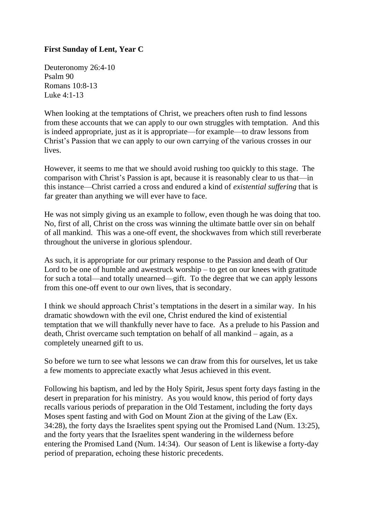## **First Sunday of Lent, Year C**

Deuteronomy 26:4-10 Psalm 90 Romans 10:8-13 Luke 4:1-13

When looking at the temptations of Christ, we preachers often rush to find lessons from these accounts that we can apply to our own struggles with temptation. And this is indeed appropriate, just as it is appropriate—for example—to draw lessons from Christ's Passion that we can apply to our own carrying of the various crosses in our lives.

However, it seems to me that we should avoid rushing too quickly to this stage. The comparison with Christ's Passion is apt, because it is reasonably clear to us that—in this instance—Christ carried a cross and endured a kind of *existential suffering* that is far greater than anything we will ever have to face.

He was not simply giving us an example to follow, even though he was doing that too. No, first of all, Christ on the cross was winning the ultimate battle over sin on behalf of all mankind. This was a one-off event, the shockwaves from which still reverberate throughout the universe in glorious splendour.

As such, it is appropriate for our primary response to the Passion and death of Our Lord to be one of humble and awestruck worship – to get on our knees with gratitude for such a total—and totally unearned—gift. To the degree that we can apply lessons from this one-off event to our own lives, that is secondary.

I think we should approach Christ's temptations in the desert in a similar way. In his dramatic showdown with the evil one, Christ endured the kind of existential temptation that we will thankfully never have to face. As a prelude to his Passion and death, Christ overcame such temptation on behalf of all mankind – again, as a completely unearned gift to us.

So before we turn to see what lessons we can draw from this for ourselves, let us take a few moments to appreciate exactly what Jesus achieved in this event.

Following his baptism, and led by the Holy Spirit, Jesus spent forty days fasting in the desert in preparation for his ministry. As you would know, this period of forty days recalls various periods of preparation in the Old Testament, including the forty days Moses spent fasting and with God on Mount Zion at the giving of the Law (Ex. 34:28), the forty days the Israelites spent spying out the Promised Land (Num. 13:25), and the forty years that the Israelites spent wandering in the wilderness before entering the Promised Land (Num. 14:34). Our season of Lent is likewise a forty-day period of preparation, echoing these historic precedents.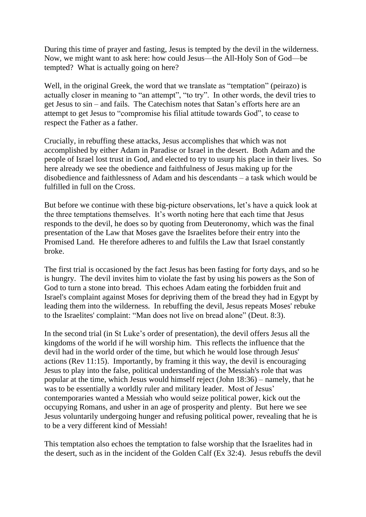During this time of prayer and fasting, Jesus is tempted by the devil in the wilderness. Now, we might want to ask here: how could Jesus—the All-Holy Son of God—be tempted? What is actually going on here?

Well, in the original Greek, the word that we translate as "temptation" (peirazo) is actually closer in meaning to "an attempt", "to try". In other words, the devil tries to get Jesus to sin – and fails. The Catechism notes that Satan's efforts here are an attempt to get Jesus to "compromise his filial attitude towards God", to cease to respect the Father as a father.

Crucially, in rebuffing these attacks, Jesus accomplishes that which was not accomplished by either Adam in Paradise or Israel in the desert. Both Adam and the people of Israel lost trust in God, and elected to try to usurp his place in their lives. So here already we see the obedience and faithfulness of Jesus making up for the disobedience and faithlessness of Adam and his descendants – a task which would be fulfilled in full on the Cross.

But before we continue with these big-picture observations, let's have a quick look at the three temptations themselves. It's worth noting here that each time that Jesus responds to the devil, he does so by quoting from Deuteronomy, which was the final presentation of the Law that Moses gave the Israelites before their entry into the Promised Land. He therefore adheres to and fulfils the Law that Israel constantly broke.

The first trial is occasioned by the fact Jesus has been fasting for forty days, and so he is hungry. The devil invites him to violate the fast by using his powers as the Son of God to turn a stone into bread. This echoes Adam eating the forbidden fruit and Israel's complaint against Moses for depriving them of the bread they had in Egypt by leading them into the wilderness. In rebuffing the devil, Jesus repeats Moses' rebuke to the Israelites' complaint: "Man does not live on bread alone" (Deut. 8:3).

In the second trial (in St Luke's order of presentation), the devil offers Jesus all the kingdoms of the world if he will worship him. This reflects the influence that the devil had in the world order of the time, but which he would lose through Jesus' actions (Rev 11:15). Importantly, by framing it this way, the devil is encouraging Jesus to play into the false, political understanding of the Messiah's role that was popular at the time, which Jesus would himself reject (John 18:36) – namely, that he was to be essentially a worldly ruler and military leader. Most of Jesus' contemporaries wanted a Messiah who would seize political power, kick out the occupying Romans, and usher in an age of prosperity and plenty. But here we see Jesus voluntarily undergoing hunger and refusing political power, revealing that he is to be a very different kind of Messiah!

This temptation also echoes the temptation to false worship that the Israelites had in the desert, such as in the incident of the Golden Calf (Ex 32:4). Jesus rebuffs the devil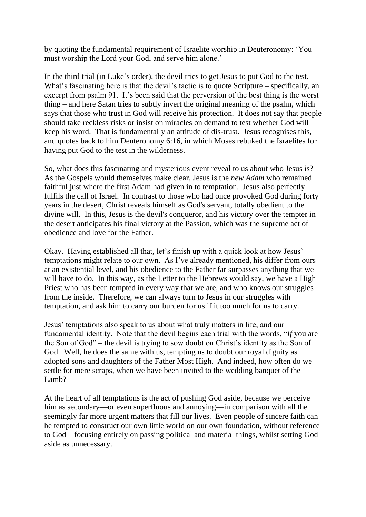by quoting the fundamental requirement of Israelite worship in Deuteronomy: 'You must worship the Lord your God, and serve him alone.'

In the third trial (in Luke's order), the devil tries to get Jesus to put God to the test. What's fascinating here is that the devil's tactic is to quote Scripture – specifically, an excerpt from psalm 91. It's been said that the perversion of the best thing is the worst thing – and here Satan tries to subtly invert the original meaning of the psalm, which says that those who trust in God will receive his protection. It does not say that people should take reckless risks or insist on miracles on demand to test whether God will keep his word. That is fundamentally an attitude of dis-trust. Jesus recognises this, and quotes back to him Deuteronomy 6:16, in which Moses rebuked the Israelites for having put God to the test in the wilderness.

So, what does this fascinating and mysterious event reveal to us about who Jesus is? As the Gospels would themselves make clear, Jesus is the *new Adam* who remained faithful just where the first Adam had given in to temptation. Jesus also perfectly fulfils the call of Israel. In contrast to those who had once provoked God during forty years in the desert, Christ reveals himself as God's servant, totally obedient to the divine will. In this, Jesus is the devil's conqueror, and his victory over the tempter in the desert anticipates his final victory at the Passion, which was the supreme act of obedience and love for the Father.

Okay. Having established all that, let's finish up with a quick look at how Jesus' temptations might relate to our own. As I've already mentioned, his differ from ours at an existential level, and his obedience to the Father far surpasses anything that we will have to do. In this way, as the Letter to the Hebrews would say, we have a High Priest who has been tempted in every way that we are, and who knows our struggles from the inside. Therefore, we can always turn to Jesus in our struggles with temptation, and ask him to carry our burden for us if it too much for us to carry.

Jesus' temptations also speak to us about what truly matters in life, and our fundamental identity. Note that the devil begins each trial with the words, "*If* you are the Son of God" – the devil is trying to sow doubt on Christ's identity as the Son of God. Well, he does the same with us, tempting us to doubt our royal dignity as adopted sons and daughters of the Father Most High. And indeed, how often do we settle for mere scraps, when we have been invited to the wedding banquet of the Lamb?

At the heart of all temptations is the act of pushing God aside, because we perceive him as secondary—or even superfluous and annoying—in comparison with all the seemingly far more urgent matters that fill our lives. Even people of sincere faith can be tempted to construct our own little world on our own foundation, without reference to God – focusing entirely on passing political and material things, whilst setting God aside as unnecessary.